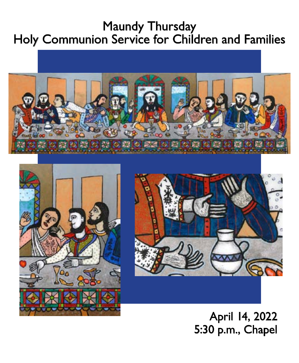## Maundy Thursday Holy Communion Service for Children and Families







April 14, 2022 5:30 p.m., Chapel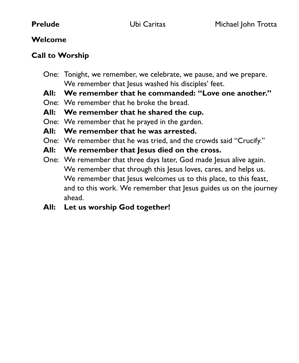### **Welcome**

### **Call to Worship**

- One: Tonight, we remember, we celebrate, we pause, and we prepare. We remember that lesus washed his disciples' feet.
- **All: We remember that he commanded: "Love one another."**
- One: We remember that he broke the bread.
- **All: We remember that he shared the cup.**
- One: We remember that he prayed in the garden.
- **All: We remember that he was arrested.**
- One: We remember that he was tried, and the crowds said "Crucify."
- **All: We remember that Jesus died on the cross.**
- One: We remember that three days later, God made Jesus alive again. We remember that through this Jesus loves, cares, and helps us. We remember that Jesus welcomes us to this place, to this feast, and to this work. We remember that Jesus guides us on the journey ahead.
- **All: Let us worship God together!**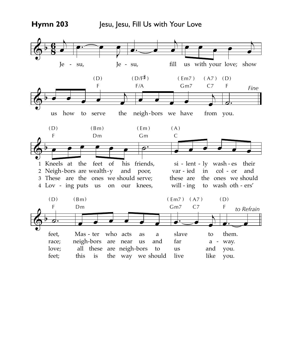### **Hymn 203**

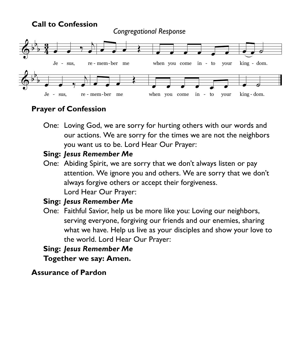

### **Prayer of Confession**

 One: Loving God, we are sorry for hurting others with our words and our actions. We are sorry for the times we are not the neighbors you want us to be. Lord Hear Our Prayer:

### **Sing:** *Jesus Remember Me*

 One: Abiding Spirit, we are sorry that we don't always listen or pay attention. We ignore you and others. We are sorry that we don't always forgive others or accept their forgiveness. Lord Hear Our Prayer:

### **Sing:** *Jesus Remember Me*

 One: Faithful Savior, help us be more like you: Loving our neighbors, serving everyone, forgiving our friends and our enemies, sharing what we have. Help us live as your disciples and show your love to the world. Lord Hear Our Prayer:

## **Sing:** *Jesus Remember Me*

 **Together we say: Amen.**

### **Assurance of Pardon**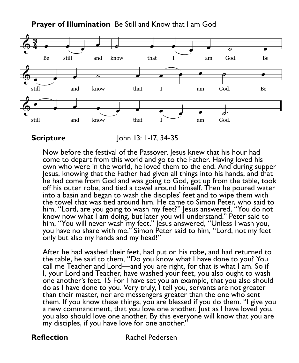**Prayer of Illumination** Be Still and Know that I am God



Now before the festival of the Passover, Jesus knew that his hour had come to depart from this world and go to the Father. Having loved his own who were in the world, he loved them to the end. And during supper Jesus, knowing that the Father had given all things into his hands, and that he had come from God and was going to God, got up from the table, took off his outer robe, and tied a towel around himself. Then he poured water into a basin and began to wash the disciples' feet and to wipe them with the towel that was tied around him. He came to Simon Peter, who said to him, "Lord, are you going to wash my feet?" Jesus answered, "You do not know now what I am doing, but later you will understand." Peter said to him, "You will never wash my feet." Jesus answered, "Unless I wash you, you have no share with me." Simon Peter said to him, "Lord, not my feet only but also my hands and my head!"

After he had washed their feet, had put on his robe, and had returned to the table, he said to them, "Do you know what I have done to you? You call me Teacher and Lord—and you are right, for that is what I am. So if I, your Lord and Teacher, have washed your feet, you also ought to wash one another's feet. 15 For I have set you an example, that you also should do as I have done to you. Very truly, I tell you, servants are not greater than their master, nor are messengers greater than the one who sent them. If you know these things, you are blessed if you do them. "I give you a new commandment, that you love one another. Just as I have loved you, you also should love one another. By this everyone will know that you are my disciples, if you have love for one another."

**Reflection Rachel Pedersen** 

**Scripture John 13: 1-17, 34-35**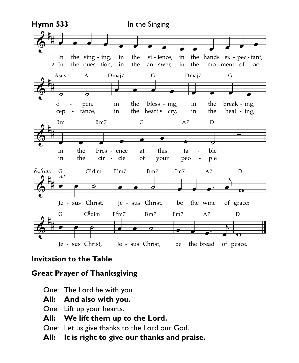

# **Invitation to the Table Invitation to the Table**

### **Great Prayer of Thanksgiving**  $\sum_{i=1}^{n}$

One: The Lord be with you. *The Lord De With* 

- **All: And also with you.**
- One: Lift up your hearts.
- **All: We lift them up to the Lord.**
- One: Let us give thanks to the Lord our God.
	- **All: It is right to give our thanks and praise.**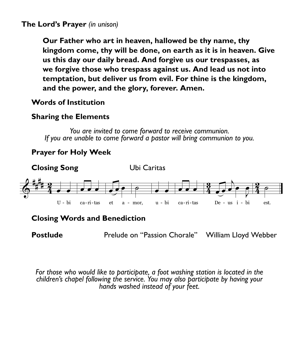### **The Lord's Prayer** *(in unison)*

**Our Father who art in heaven, hallowed be thy name, thy kingdom come, thy will be done, on earth as it is in heaven. Give us this day our daily bread. And forgive us our trespasses, as we forgive those who trespass against us. And lead us not into temptation, but deliver us from evil. For thine is the kingdom, and the power, and the glory, forever. Amen.** 

### **Words of Institution**

### **Sharing the Elements**

*You are invited to come forward to receive communion. If you are unable to come forward a pastor will bring communion to you.*

### **Prayer for Holy Week**



### **Closing Words and Benediction**

**Postlude Prelude on "Passion Chorale"** William Lloyd Webber

*For those who would like to participate, a foot washing station is located in the children's chapel following the service. You may also participate by having your hands washed instead of your feet.*